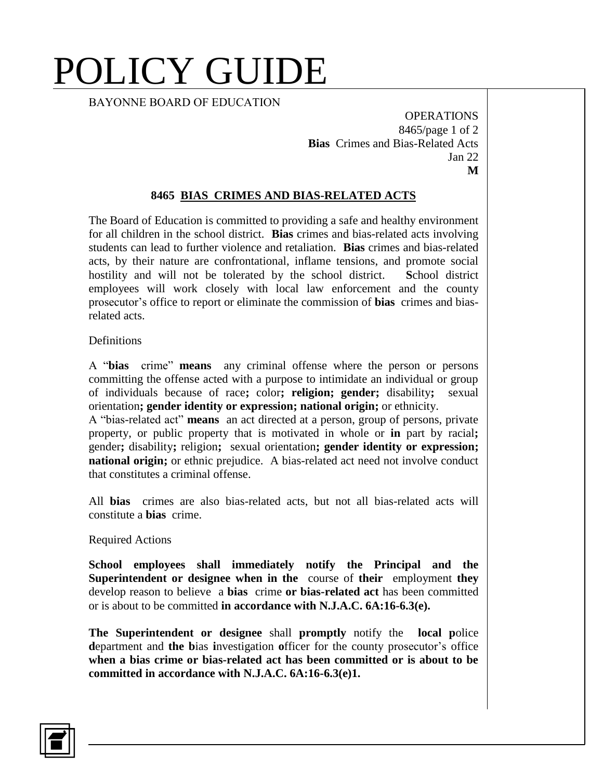# POLICY GUIDE

BAYONNE BOARD OF EDUCATION

OPERATIONS 8465/page 1 of 2 **Bias** Crimes and Bias-Related Acts Jan 22 **M**

### **8465 BIAS CRIMES AND BIAS-RELATED ACTS**

The Board of Education is committed to providing a safe and healthy environment for all children in the school district. **Bias** crimes and bias-related acts involving students can lead to further violence and retaliation. **Bias** crimes and bias-related acts, by their nature are confrontational, inflame tensions, and promote social hostility and will not be tolerated by the school district. **S**chool district employees will work closely with local law enforcement and the county prosecutor's office to report or eliminate the commission of **bias** crimes and biasrelated acts.

#### **Definitions**

A "**bias** crime" **means** any criminal offense where the person or persons committing the offense acted with a purpose to intimidate an individual or group of individuals because of race**;** color**; religion; gender;** disability**;** sexual orientation**; gender identity or expression; national origin;** or ethnicity.

A "bias-related act" **means** an act directed at a person, group of persons, private property, or public property that is motivated in whole or **in** part by racial**;** gender**;** disability**;** religion**;** sexual orientation**; gender identity or expression; national origin;** or ethnic prejudice. A bias-related act need not involve conduct that constitutes a criminal offense.

All **bias** crimes are also bias-related acts, but not all bias-related acts will constitute a **bias** crime.

#### Required Actions

**School employees shall immediately notify the Principal and the Superintendent or designee when in the** course of **their** employment **they**  develop reason to believe a **bias** crime **or bias-related act** has been committed or is about to be committed **in accordance with N.J.A.C. 6A:16-6.3(e).**

**The Superintendent or designee** shall **promptly** notify the **local p**olice **d**epartment and **the b**ias **i**nvestigation **o**fficer for the county prosecutor's office **when a bias crime or bias-related act has been committed or is about to be committed in accordance with N.J.A.C. 6A:16-6.3(e)1.**